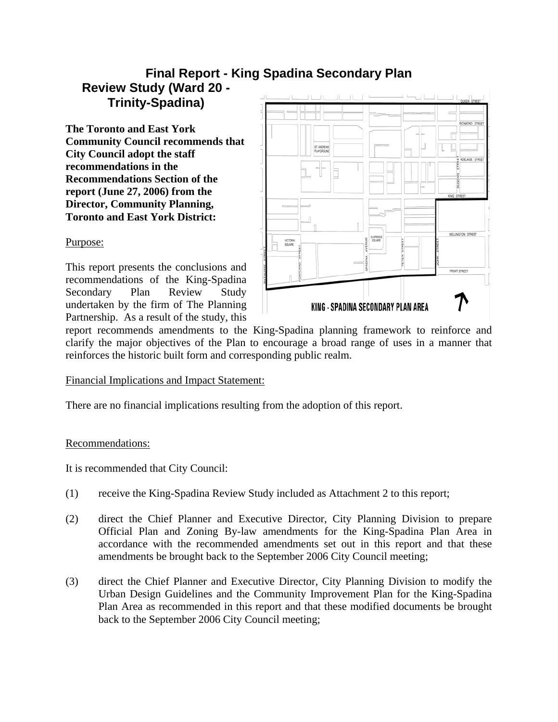# **Final Report - King Spadina Secondary Plan Review Study (Ward 20 - Trinity-Spadina)**

**The Toronto and East York Community Council recommends that City Council adopt the staff recommendations in the Recommendations Section of the report (June 27, 2006) from the Director, Community Planning, Toronto and East York District:** 



#### Purpose:

This report presents the conclusions and recommendations of the King-Spadina Secondary Plan Review Study undertaken by the firm of The Planning Partnership. As a result of the study, this

report recommends amendments to the King-Spadina planning framework to reinforce and clarify the major objectives of the Plan to encourage a broad range of uses in a manner that reinforces the historic built form and corresponding public realm.

# Financial Implications and Impact Statement:

There are no financial implications resulting from the adoption of this report.

# Recommendations:

It is recommended that City Council:

- (1) receive the King-Spadina Review Study included as Attachment 2 to this report;
- (2) direct the Chief Planner and Executive Director, City Planning Division to prepare Official Plan and Zoning By-law amendments for the King-Spadina Plan Area in accordance with the recommended amendments set out in this report and that these amendments be brought back to the September 2006 City Council meeting;
- (3) direct the Chief Planner and Executive Director, City Planning Division to modify the Urban Design Guidelines and the Community Improvement Plan for the King-Spadina Plan Area as recommended in this report and that these modified documents be brought back to the September 2006 City Council meeting;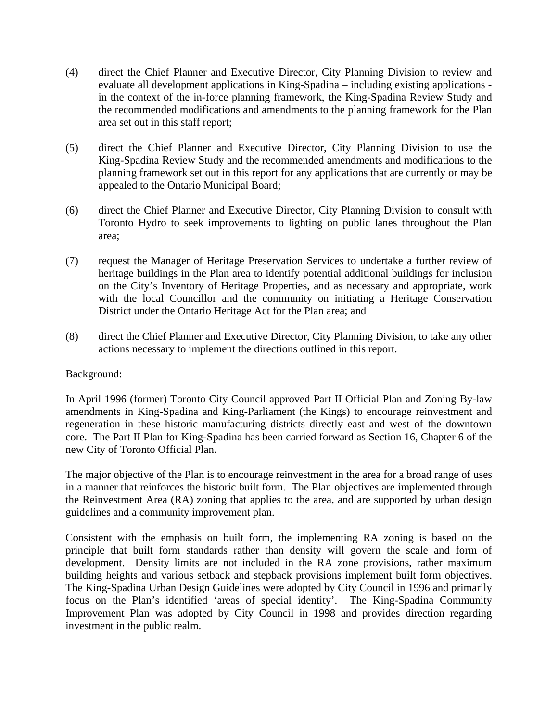- (4) direct the Chief Planner and Executive Director, City Planning Division to review and evaluate all development applications in King-Spadina – including existing applications in the context of the in-force planning framework, the King-Spadina Review Study and the recommended modifications and amendments to the planning framework for the Plan area set out in this staff report;
- (5) direct the Chief Planner and Executive Director, City Planning Division to use the King-Spadina Review Study and the recommended amendments and modifications to the planning framework set out in this report for any applications that are currently or may be appealed to the Ontario Municipal Board;
- (6) direct the Chief Planner and Executive Director, City Planning Division to consult with Toronto Hydro to seek improvements to lighting on public lanes throughout the Plan area;
- (7) request the Manager of Heritage Preservation Services to undertake a further review of heritage buildings in the Plan area to identify potential additional buildings for inclusion on the City's Inventory of Heritage Properties, and as necessary and appropriate, work with the local Councillor and the community on initiating a Heritage Conservation District under the Ontario Heritage Act for the Plan area; and
- (8) direct the Chief Planner and Executive Director, City Planning Division, to take any other actions necessary to implement the directions outlined in this report.

#### Background:

In April 1996 (former) Toronto City Council approved Part II Official Plan and Zoning By-law amendments in King-Spadina and King-Parliament (the Kings) to encourage reinvestment and regeneration in these historic manufacturing districts directly east and west of the downtown core. The Part II Plan for King-Spadina has been carried forward as Section 16, Chapter 6 of the new City of Toronto Official Plan.

The major objective of the Plan is to encourage reinvestment in the area for a broad range of uses in a manner that reinforces the historic built form. The Plan objectives are implemented through the Reinvestment Area (RA) zoning that applies to the area, and are supported by urban design guidelines and a community improvement plan.

Consistent with the emphasis on built form, the implementing RA zoning is based on the principle that built form standards rather than density will govern the scale and form of development. Density limits are not included in the RA zone provisions, rather maximum building heights and various setback and stepback provisions implement built form objectives. The King-Spadina Urban Design Guidelines were adopted by City Council in 1996 and primarily focus on the Plan's identified 'areas of special identity'. The King-Spadina Community Improvement Plan was adopted by City Council in 1998 and provides direction regarding investment in the public realm.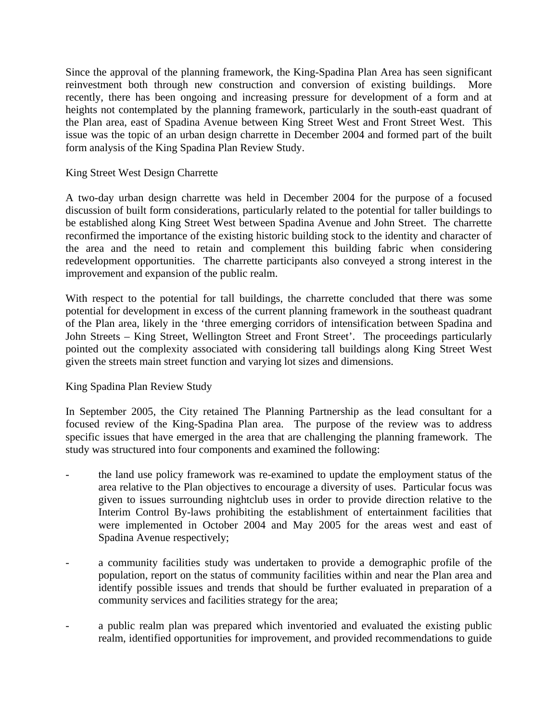Since the approval of the planning framework, the King-Spadina Plan Area has seen significant reinvestment both through new construction and conversion of existing buildings. More recently, there has been ongoing and increasing pressure for development of a form and at heights not contemplated by the planning framework, particularly in the south-east quadrant of the Plan area, east of Spadina Avenue between King Street West and Front Street West. This issue was the topic of an urban design charrette in December 2004 and formed part of the built form analysis of the King Spadina Plan Review Study.

#### King Street West Design Charrette

A two-day urban design charrette was held in December 2004 for the purpose of a focused discussion of built form considerations, particularly related to the potential for taller buildings to be established along King Street West between Spadina Avenue and John Street. The charrette reconfirmed the importance of the existing historic building stock to the identity and character of the area and the need to retain and complement this building fabric when considering redevelopment opportunities. The charrette participants also conveyed a strong interest in the improvement and expansion of the public realm.

With respect to the potential for tall buildings, the charrette concluded that there was some potential for development in excess of the current planning framework in the southeast quadrant of the Plan area, likely in the 'three emerging corridors of intensification between Spadina and John Streets – King Street, Wellington Street and Front Street'. The proceedings particularly pointed out the complexity associated with considering tall buildings along King Street West given the streets main street function and varying lot sizes and dimensions.

#### King Spadina Plan Review Study

In September 2005, the City retained The Planning Partnership as the lead consultant for a focused review of the King-Spadina Plan area. The purpose of the review was to address specific issues that have emerged in the area that are challenging the planning framework. The study was structured into four components and examined the following:

- the land use policy framework was re-examined to update the employment status of the area relative to the Plan objectives to encourage a diversity of uses. Particular focus was given to issues surrounding nightclub uses in order to provide direction relative to the Interim Control By-laws prohibiting the establishment of entertainment facilities that were implemented in October 2004 and May 2005 for the areas west and east of Spadina Avenue respectively;
- a community facilities study was undertaken to provide a demographic profile of the population, report on the status of community facilities within and near the Plan area and identify possible issues and trends that should be further evaluated in preparation of a community services and facilities strategy for the area;
- a public realm plan was prepared which inventoried and evaluated the existing public realm, identified opportunities for improvement, and provided recommendations to guide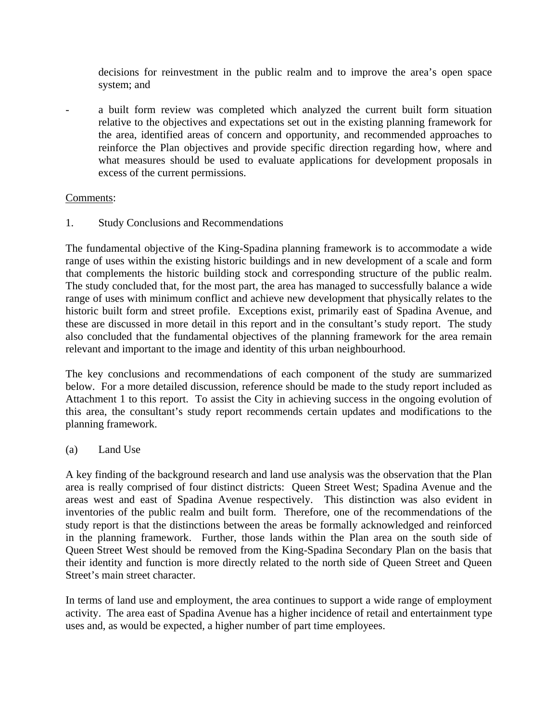decisions for reinvestment in the public realm and to improve the area's open space system; and

a built form review was completed which analyzed the current built form situation relative to the objectives and expectations set out in the existing planning framework for the area, identified areas of concern and opportunity, and recommended approaches to reinforce the Plan objectives and provide specific direction regarding how, where and what measures should be used to evaluate applications for development proposals in excess of the current permissions.

# Comments:

1. Study Conclusions and Recommendations

The fundamental objective of the King-Spadina planning framework is to accommodate a wide range of uses within the existing historic buildings and in new development of a scale and form that complements the historic building stock and corresponding structure of the public realm. The study concluded that, for the most part, the area has managed to successfully balance a wide range of uses with minimum conflict and achieve new development that physically relates to the historic built form and street profile. Exceptions exist, primarily east of Spadina Avenue, and these are discussed in more detail in this report and in the consultant's study report. The study also concluded that the fundamental objectives of the planning framework for the area remain relevant and important to the image and identity of this urban neighbourhood.

The key conclusions and recommendations of each component of the study are summarized below. For a more detailed discussion, reference should be made to the study report included as Attachment 1 to this report. To assist the City in achieving success in the ongoing evolution of this area, the consultant's study report recommends certain updates and modifications to the planning framework.

#### (a) Land Use

A key finding of the background research and land use analysis was the observation that the Plan area is really comprised of four distinct districts: Queen Street West; Spadina Avenue and the areas west and east of Spadina Avenue respectively. This distinction was also evident in inventories of the public realm and built form. Therefore, one of the recommendations of the study report is that the distinctions between the areas be formally acknowledged and reinforced in the planning framework. Further, those lands within the Plan area on the south side of Queen Street West should be removed from the King-Spadina Secondary Plan on the basis that their identity and function is more directly related to the north side of Queen Street and Queen Street's main street character.

In terms of land use and employment, the area continues to support a wide range of employment activity. The area east of Spadina Avenue has a higher incidence of retail and entertainment type uses and, as would be expected, a higher number of part time employees.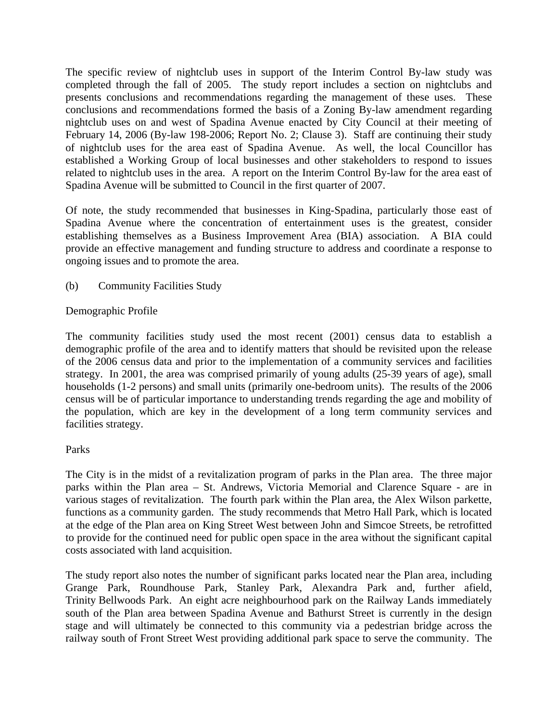The specific review of nightclub uses in support of the Interim Control By-law study was completed through the fall of 2005. The study report includes a section on nightclubs and presents conclusions and recommendations regarding the management of these uses. These conclusions and recommendations formed the basis of a Zoning By-law amendment regarding nightclub uses on and west of Spadina Avenue enacted by City Council at their meeting of February 14, 2006 (By-law 198-2006; Report No. 2; Clause 3). Staff are continuing their study of nightclub uses for the area east of Spadina Avenue. As well, the local Councillor has established a Working Group of local businesses and other stakeholders to respond to issues related to nightclub uses in the area. A report on the Interim Control By-law for the area east of Spadina Avenue will be submitted to Council in the first quarter of 2007.

Of note, the study recommended that businesses in King-Spadina, particularly those east of Spadina Avenue where the concentration of entertainment uses is the greatest, consider establishing themselves as a Business Improvement Area (BIA) association. A BIA could provide an effective management and funding structure to address and coordinate a response to ongoing issues and to promote the area.

(b) Community Facilities Study

# Demographic Profile

The community facilities study used the most recent (2001) census data to establish a demographic profile of the area and to identify matters that should be revisited upon the release of the 2006 census data and prior to the implementation of a community services and facilities strategy. In 2001, the area was comprised primarily of young adults (25-39 years of age), small households (1-2 persons) and small units (primarily one-bedroom units). The results of the 2006 census will be of particular importance to understanding trends regarding the age and mobility of the population, which are key in the development of a long term community services and facilities strategy.

#### Parks

The City is in the midst of a revitalization program of parks in the Plan area. The three major parks within the Plan area – St. Andrews, Victoria Memorial and Clarence Square - are in various stages of revitalization. The fourth park within the Plan area, the Alex Wilson parkette, functions as a community garden. The study recommends that Metro Hall Park, which is located at the edge of the Plan area on King Street West between John and Simcoe Streets, be retrofitted to provide for the continued need for public open space in the area without the significant capital costs associated with land acquisition.

The study report also notes the number of significant parks located near the Plan area, including Grange Park, Roundhouse Park, Stanley Park, Alexandra Park and, further afield, Trinity Bellwoods Park. An eight acre neighbourhood park on the Railway Lands immediately south of the Plan area between Spadina Avenue and Bathurst Street is currently in the design stage and will ultimately be connected to this community via a pedestrian bridge across the railway south of Front Street West providing additional park space to serve the community. The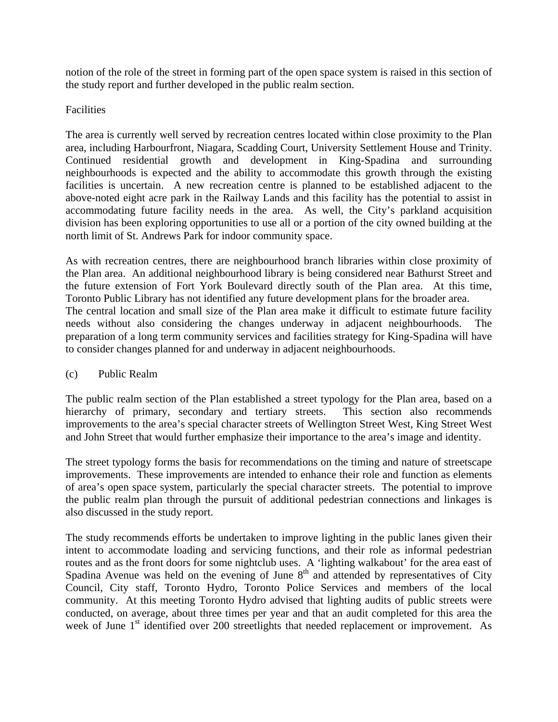notion of the role of the street in forming part of the open space system is raised in this section of the study report and further developed in the public realm section.

# Facilities

The area is currently well served by recreation centres located within close proximity to the Plan area, including Harbourfront, Niagara, Scadding Court, University Settlement House and Trinity. Continued residential growth and development in King-Spadina and surrounding neighbourhoods is expected and the ability to accommodate this growth through the existing facilities is uncertain. A new recreation centre is planned to be established adjacent to the above-noted eight acre park in the Railway Lands and this facility has the potential to assist in accommodating future facility needs in the area. As well, the City's parkland acquisition division has been exploring opportunities to use all or a portion of the city owned building at the north limit of St. Andrews Park for indoor community space.

As with recreation centres, there are neighbourhood branch libraries within close proximity of the Plan area. An additional neighbourhood library is being considered near Bathurst Street and the future extension of Fort York Boulevard directly south of the Plan area. At this time, Toronto Public Library has not identified any future development plans for the broader area. The central location and small size of the Plan area make it difficult to estimate future facility needs without also considering the changes underway in adjacent neighbourhoods. The preparation of a long term community services and facilities strategy for King-Spadina will have to consider changes planned for and underway in adjacent neighbourhoods.

#### (c) Public Realm

The public realm section of the Plan established a street typology for the Plan area, based on a hierarchy of primary, secondary and tertiary streets. This section also recommends improvements to the area's special character streets of Wellington Street West, King Street West and John Street that would further emphasize their importance to the area's image and identity.

The street typology forms the basis for recommendations on the timing and nature of streetscape improvements. These improvements are intended to enhance their role and function as elements of area's open space system, particularly the special character streets. The potential to improve the public realm plan through the pursuit of additional pedestrian connections and linkages is also discussed in the study report.

The study recommends efforts be undertaken to improve lighting in the public lanes given their intent to accommodate loading and servicing functions, and their role as informal pedestrian routes and as the front doors for some nightclub uses. A 'lighting walkabout' for the area east of Spadina Avenue was held on the evening of June  $8<sup>th</sup>$  and attended by representatives of City Council, City staff, Toronto Hydro, Toronto Police Services and members of the local community. At this meeting Toronto Hydro advised that lighting audits of public streets were conducted, on average, about three times per year and that an audit completed for this area the week of June 1<sup>st</sup> identified over 200 streetlights that needed replacement or improvement. As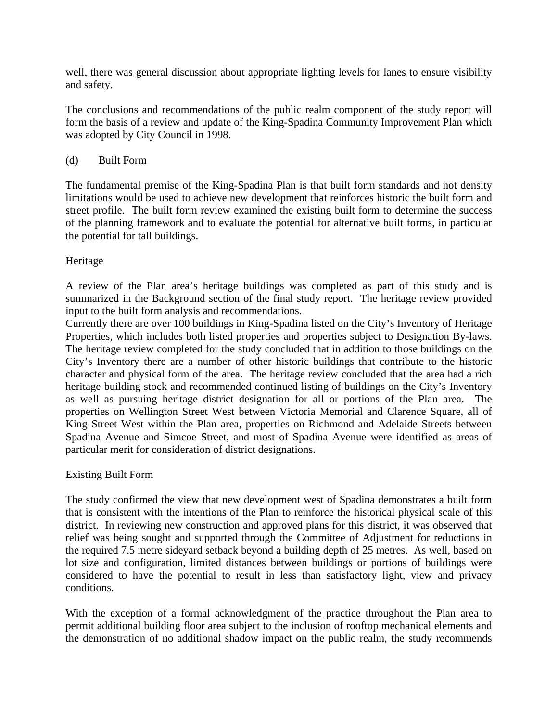well, there was general discussion about appropriate lighting levels for lanes to ensure visibility and safety.

The conclusions and recommendations of the public realm component of the study report will form the basis of a review and update of the King-Spadina Community Improvement Plan which was adopted by City Council in 1998.

### (d) Built Form

The fundamental premise of the King-Spadina Plan is that built form standards and not density limitations would be used to achieve new development that reinforces historic the built form and street profile. The built form review examined the existing built form to determine the success of the planning framework and to evaluate the potential for alternative built forms, in particular the potential for tall buildings.

# Heritage

A review of the Plan area's heritage buildings was completed as part of this study and is summarized in the Background section of the final study report. The heritage review provided input to the built form analysis and recommendations.

Currently there are over 100 buildings in King-Spadina listed on the City's Inventory of Heritage Properties, which includes both listed properties and properties subject to Designation By-laws. The heritage review completed for the study concluded that in addition to those buildings on the City's Inventory there are a number of other historic buildings that contribute to the historic character and physical form of the area. The heritage review concluded that the area had a rich heritage building stock and recommended continued listing of buildings on the City's Inventory as well as pursuing heritage district designation for all or portions of the Plan area. The properties on Wellington Street West between Victoria Memorial and Clarence Square, all of King Street West within the Plan area, properties on Richmond and Adelaide Streets between Spadina Avenue and Simcoe Street, and most of Spadina Avenue were identified as areas of particular merit for consideration of district designations.

#### Existing Built Form

The study confirmed the view that new development west of Spadina demonstrates a built form that is consistent with the intentions of the Plan to reinforce the historical physical scale of this district. In reviewing new construction and approved plans for this district, it was observed that relief was being sought and supported through the Committee of Adjustment for reductions in the required 7.5 metre sideyard setback beyond a building depth of 25 metres. As well, based on lot size and configuration, limited distances between buildings or portions of buildings were considered to have the potential to result in less than satisfactory light, view and privacy conditions.

With the exception of a formal acknowledgment of the practice throughout the Plan area to permit additional building floor area subject to the inclusion of rooftop mechanical elements and the demonstration of no additional shadow impact on the public realm, the study recommends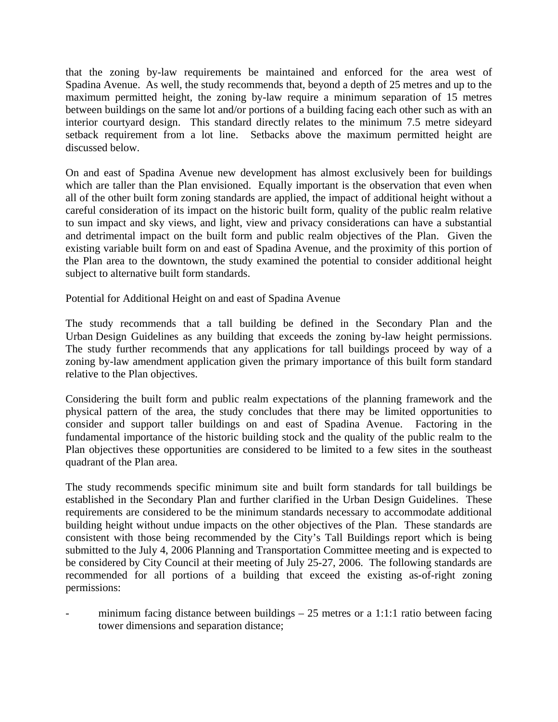that the zoning by-law requirements be maintained and enforced for the area west of Spadina Avenue. As well, the study recommends that, beyond a depth of 25 metres and up to the maximum permitted height, the zoning by-law require a minimum separation of 15 metres between buildings on the same lot and/or portions of a building facing each other such as with an interior courtyard design. This standard directly relates to the minimum 7.5 metre sideyard setback requirement from a lot line. Setbacks above the maximum permitted height are discussed below.

On and east of Spadina Avenue new development has almost exclusively been for buildings which are taller than the Plan envisioned. Equally important is the observation that even when all of the other built form zoning standards are applied, the impact of additional height without a careful consideration of its impact on the historic built form, quality of the public realm relative to sun impact and sky views, and light, view and privacy considerations can have a substantial and detrimental impact on the built form and public realm objectives of the Plan. Given the existing variable built form on and east of Spadina Avenue, and the proximity of this portion of the Plan area to the downtown, the study examined the potential to consider additional height subject to alternative built form standards.

Potential for Additional Height on and east of Spadina Avenue

The study recommends that a tall building be defined in the Secondary Plan and the Urban Design Guidelines as any building that exceeds the zoning by-law height permissions. The study further recommends that any applications for tall buildings proceed by way of a zoning by-law amendment application given the primary importance of this built form standard relative to the Plan objectives.

Considering the built form and public realm expectations of the planning framework and the physical pattern of the area, the study concludes that there may be limited opportunities to consider and support taller buildings on and east of Spadina Avenue. Factoring in the fundamental importance of the historic building stock and the quality of the public realm to the Plan objectives these opportunities are considered to be limited to a few sites in the southeast quadrant of the Plan area.

The study recommends specific minimum site and built form standards for tall buildings be established in the Secondary Plan and further clarified in the Urban Design Guidelines. These requirements are considered to be the minimum standards necessary to accommodate additional building height without undue impacts on the other objectives of the Plan. These standards are consistent with those being recommended by the City's Tall Buildings report which is being submitted to the July 4, 2006 Planning and Transportation Committee meeting and is expected to be considered by City Council at their meeting of July 25-27, 2006. The following standards are recommended for all portions of a building that exceed the existing as-of-right zoning permissions:

minimum facing distance between buildings  $-25$  metres or a 1:1:1 ratio between facing tower dimensions and separation distance;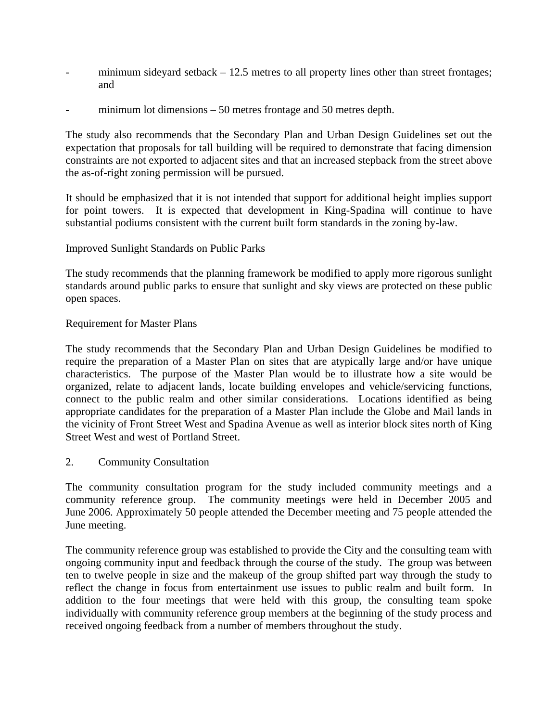- minimum sideyard setback  $-12.5$  metres to all property lines other than street frontages; and
- minimum lot dimensions  $-50$  metres frontage and 50 metres depth.

The study also recommends that the Secondary Plan and Urban Design Guidelines set out the expectation that proposals for tall building will be required to demonstrate that facing dimension constraints are not exported to adjacent sites and that an increased stepback from the street above the as-of-right zoning permission will be pursued.

It should be emphasized that it is not intended that support for additional height implies support for point towers. It is expected that development in King-Spadina will continue to have substantial podiums consistent with the current built form standards in the zoning by-law.

# Improved Sunlight Standards on Public Parks

The study recommends that the planning framework be modified to apply more rigorous sunlight standards around public parks to ensure that sunlight and sky views are protected on these public open spaces.

#### Requirement for Master Plans

The study recommends that the Secondary Plan and Urban Design Guidelines be modified to require the preparation of a Master Plan on sites that are atypically large and/or have unique characteristics. The purpose of the Master Plan would be to illustrate how a site would be organized, relate to adjacent lands, locate building envelopes and vehicle/servicing functions, connect to the public realm and other similar considerations. Locations identified as being appropriate candidates for the preparation of a Master Plan include the Globe and Mail lands in the vicinity of Front Street West and Spadina Avenue as well as interior block sites north of King Street West and west of Portland Street.

#### 2. Community Consultation

The community consultation program for the study included community meetings and a community reference group. The community meetings were held in December 2005 and June 2006. Approximately 50 people attended the December meeting and 75 people attended the June meeting.

The community reference group was established to provide the City and the consulting team with ongoing community input and feedback through the course of the study. The group was between ten to twelve people in size and the makeup of the group shifted part way through the study to reflect the change in focus from entertainment use issues to public realm and built form. In addition to the four meetings that were held with this group, the consulting team spoke individually with community reference group members at the beginning of the study process and received ongoing feedback from a number of members throughout the study.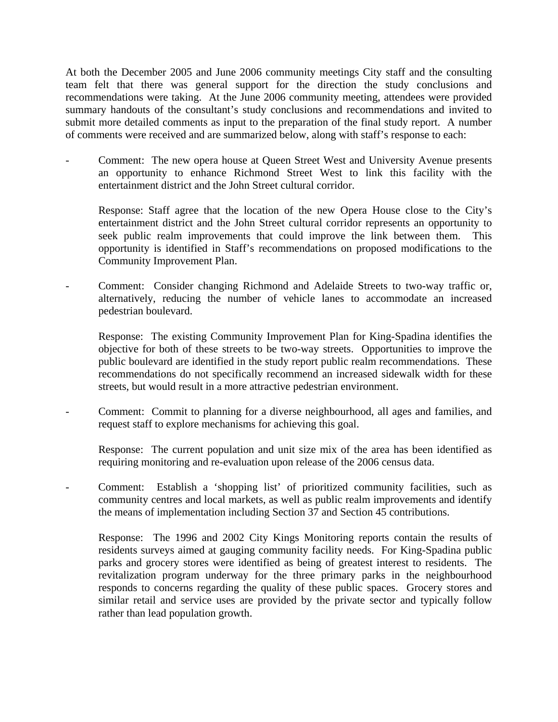At both the December 2005 and June 2006 community meetings City staff and the consulting team felt that there was general support for the direction the study conclusions and recommendations were taking. At the June 2006 community meeting, attendees were provided summary handouts of the consultant's study conclusions and recommendations and invited to submit more detailed comments as input to the preparation of the final study report. A number of comments were received and are summarized below, along with staff's response to each:

Comment: The new opera house at Queen Street West and University Avenue presents an opportunity to enhance Richmond Street West to link this facility with the entertainment district and the John Street cultural corridor.

 Response: Staff agree that the location of the new Opera House close to the City's entertainment district and the John Street cultural corridor represents an opportunity to seek public realm improvements that could improve the link between them. This opportunity is identified in Staff's recommendations on proposed modifications to the Community Improvement Plan.

- Comment: Consider changing Richmond and Adelaide Streets to two-way traffic or, alternatively, reducing the number of vehicle lanes to accommodate an increased pedestrian boulevard.

 Response: The existing Community Improvement Plan for King-Spadina identifies the objective for both of these streets to be two-way streets. Opportunities to improve the public boulevard are identified in the study report public realm recommendations. These recommendations do not specifically recommend an increased sidewalk width for these streets, but would result in a more attractive pedestrian environment.

- Comment: Commit to planning for a diverse neighbourhood, all ages and families, and request staff to explore mechanisms for achieving this goal.

 Response: The current population and unit size mix of the area has been identified as requiring monitoring and re-evaluation upon release of the 2006 census data.

- Comment: Establish a 'shopping list' of prioritized community facilities, such as community centres and local markets, as well as public realm improvements and identify the means of implementation including Section 37 and Section 45 contributions.

 Response: The 1996 and 2002 City Kings Monitoring reports contain the results of residents surveys aimed at gauging community facility needs. For King-Spadina public parks and grocery stores were identified as being of greatest interest to residents. The revitalization program underway for the three primary parks in the neighbourhood responds to concerns regarding the quality of these public spaces. Grocery stores and similar retail and service uses are provided by the private sector and typically follow rather than lead population growth.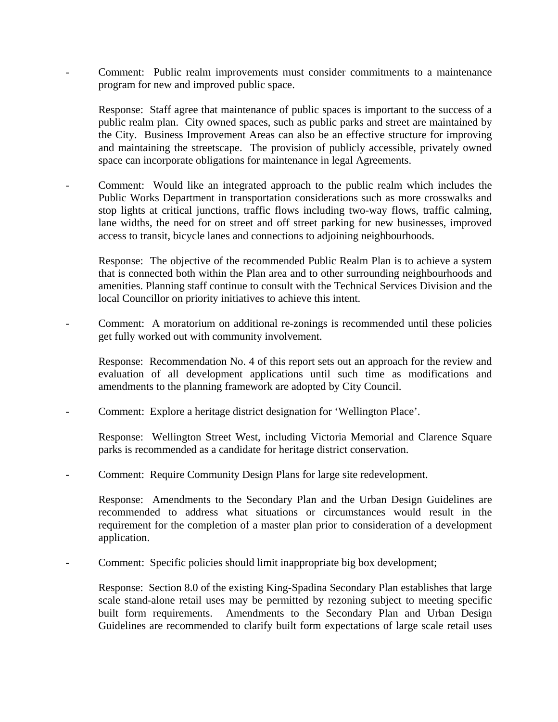- Comment: Public realm improvements must consider commitments to a maintenance program for new and improved public space.

 Response: Staff agree that maintenance of public spaces is important to the success of a public realm plan. City owned spaces, such as public parks and street are maintained by the City. Business Improvement Areas can also be an effective structure for improving and maintaining the streetscape. The provision of publicly accessible, privately owned space can incorporate obligations for maintenance in legal Agreements.

- Comment: Would like an integrated approach to the public realm which includes the Public Works Department in transportation considerations such as more crosswalks and stop lights at critical junctions, traffic flows including two-way flows, traffic calming, lane widths, the need for on street and off street parking for new businesses, improved access to transit, bicycle lanes and connections to adjoining neighbourhoods.

 Response: The objective of the recommended Public Realm Plan is to achieve a system that is connected both within the Plan area and to other surrounding neighbourhoods and amenities. Planning staff continue to consult with the Technical Services Division and the local Councillor on priority initiatives to achieve this intent.

- Comment: A moratorium on additional re-zonings is recommended until these policies get fully worked out with community involvement.

Response: Recommendation No. 4 of this report sets out an approach for the review and evaluation of all development applications until such time as modifications and amendments to the planning framework are adopted by City Council.

Comment: Explore a heritage district designation for 'Wellington Place'.

 Response: Wellington Street West, including Victoria Memorial and Clarence Square parks is recommended as a candidate for heritage district conservation.

- Comment: Require Community Design Plans for large site redevelopment.

 Response: Amendments to the Secondary Plan and the Urban Design Guidelines are recommended to address what situations or circumstances would result in the requirement for the completion of a master plan prior to consideration of a development application.

Comment: Specific policies should limit inappropriate big box development;

 Response: Section 8.0 of the existing King-Spadina Secondary Plan establishes that large scale stand-alone retail uses may be permitted by rezoning subject to meeting specific built form requirements. Amendments to the Secondary Plan and Urban Design Guidelines are recommended to clarify built form expectations of large scale retail uses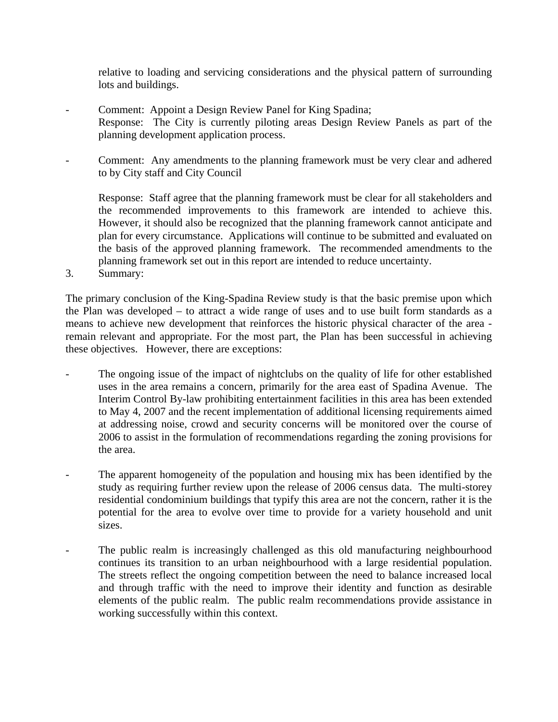relative to loading and servicing considerations and the physical pattern of surrounding lots and buildings.

- Comment: Appoint a Design Review Panel for King Spadina; Response: The City is currently piloting areas Design Review Panels as part of the planning development application process.
- Comment: Any amendments to the planning framework must be very clear and adhered to by City staff and City Council

 Response: Staff agree that the planning framework must be clear for all stakeholders and the recommended improvements to this framework are intended to achieve this. However, it should also be recognized that the planning framework cannot anticipate and plan for every circumstance. Applications will continue to be submitted and evaluated on the basis of the approved planning framework. The recommended amendments to the planning framework set out in this report are intended to reduce uncertainty.

3. Summary:

The primary conclusion of the King-Spadina Review study is that the basic premise upon which the Plan was developed – to attract a wide range of uses and to use built form standards as a means to achieve new development that reinforces the historic physical character of the area remain relevant and appropriate. For the most part, the Plan has been successful in achieving these objectives. However, there are exceptions:

- The ongoing issue of the impact of nightclubs on the quality of life for other established uses in the area remains a concern, primarily for the area east of Spadina Avenue. The Interim Control By-law prohibiting entertainment facilities in this area has been extended to May 4, 2007 and the recent implementation of additional licensing requirements aimed at addressing noise, crowd and security concerns will be monitored over the course of 2006 to assist in the formulation of recommendations regarding the zoning provisions for the area.
- The apparent homogeneity of the population and housing mix has been identified by the study as requiring further review upon the release of 2006 census data. The multi-storey residential condominium buildings that typify this area are not the concern, rather it is the potential for the area to evolve over time to provide for a variety household and unit sizes.
- The public realm is increasingly challenged as this old manufacturing neighbourhood continues its transition to an urban neighbourhood with a large residential population. The streets reflect the ongoing competition between the need to balance increased local and through traffic with the need to improve their identity and function as desirable elements of the public realm. The public realm recommendations provide assistance in working successfully within this context.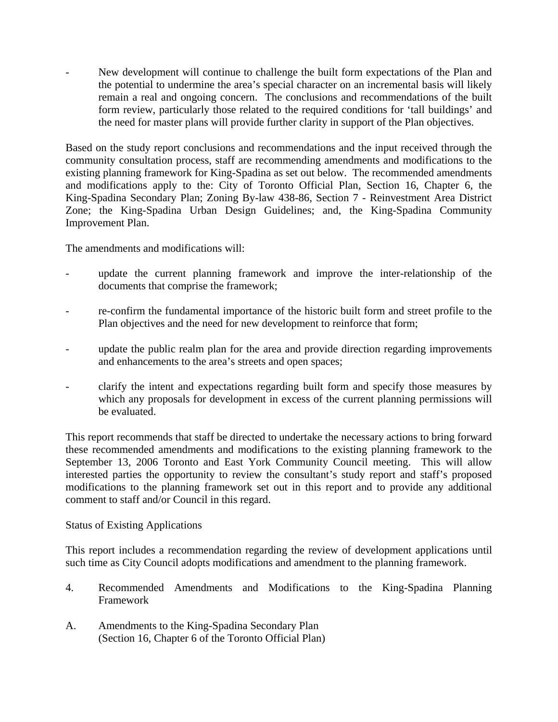New development will continue to challenge the built form expectations of the Plan and the potential to undermine the area's special character on an incremental basis will likely remain a real and ongoing concern. The conclusions and recommendations of the built form review, particularly those related to the required conditions for 'tall buildings' and the need for master plans will provide further clarity in support of the Plan objectives.

Based on the study report conclusions and recommendations and the input received through the community consultation process, staff are recommending amendments and modifications to the existing planning framework for King-Spadina as set out below. The recommended amendments and modifications apply to the: City of Toronto Official Plan, Section 16, Chapter 6, the King-Spadina Secondary Plan; Zoning By-law 438-86, Section 7 - Reinvestment Area District Zone; the King-Spadina Urban Design Guidelines; and, the King-Spadina Community Improvement Plan.

The amendments and modifications will:

- update the current planning framework and improve the inter-relationship of the documents that comprise the framework;
- re-confirm the fundamental importance of the historic built form and street profile to the Plan objectives and the need for new development to reinforce that form;
- update the public realm plan for the area and provide direction regarding improvements and enhancements to the area's streets and open spaces;
- clarify the intent and expectations regarding built form and specify those measures by which any proposals for development in excess of the current planning permissions will be evaluated.

This report recommends that staff be directed to undertake the necessary actions to bring forward these recommended amendments and modifications to the existing planning framework to the September 13, 2006 Toronto and East York Community Council meeting. This will allow interested parties the opportunity to review the consultant's study report and staff's proposed modifications to the planning framework set out in this report and to provide any additional comment to staff and/or Council in this regard.

#### Status of Existing Applications

This report includes a recommendation regarding the review of development applications until such time as City Council adopts modifications and amendment to the planning framework.

- 4. Recommended Amendments and Modifications to the King-Spadina Planning Framework
- A. Amendments to the King-Spadina Secondary Plan (Section 16, Chapter 6 of the Toronto Official Plan)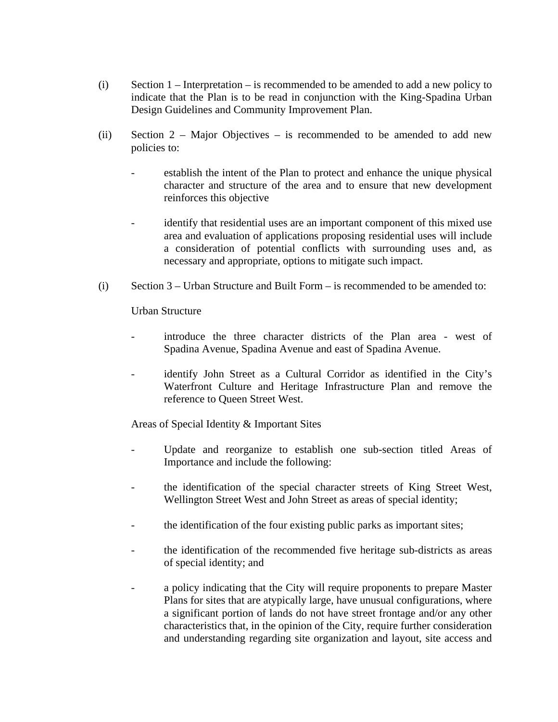- (i) Section 1 Interpretation is recommended to be amended to add a new policy to indicate that the Plan is to be read in conjunction with the King-Spadina Urban Design Guidelines and Community Improvement Plan.
- (ii) Section 2 Major Objectives is recommended to be amended to add new policies to:
	- establish the intent of the Plan to protect and enhance the unique physical character and structure of the area and to ensure that new development reinforces this objective
	- identify that residential uses are an important component of this mixed use area and evaluation of applications proposing residential uses will include a consideration of potential conflicts with surrounding uses and, as necessary and appropriate, options to mitigate such impact.
- (i) Section 3 Urban Structure and Built Form is recommended to be amended to:

Urban Structure

- introduce the three character districts of the Plan area west of Spadina Avenue, Spadina Avenue and east of Spadina Avenue.
- identify John Street as a Cultural Corridor as identified in the City's Waterfront Culture and Heritage Infrastructure Plan and remove the reference to Queen Street West.

Areas of Special Identity & Important Sites

- Update and reorganize to establish one sub-section titled Areas of Importance and include the following:
- the identification of the special character streets of King Street West, Wellington Street West and John Street as areas of special identity;
- the identification of the four existing public parks as important sites;
- the identification of the recommended five heritage sub-districts as areas of special identity; and
- a policy indicating that the City will require proponents to prepare Master Plans for sites that are atypically large, have unusual configurations, where a significant portion of lands do not have street frontage and/or any other characteristics that, in the opinion of the City, require further consideration and understanding regarding site organization and layout, site access and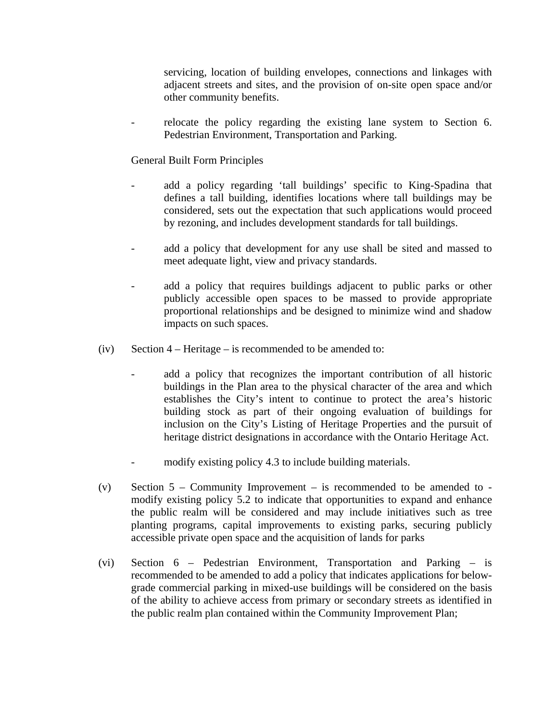servicing, location of building envelopes, connections and linkages with adjacent streets and sites, and the provision of on-site open space and/or other community benefits.

relocate the policy regarding the existing lane system to Section 6. Pedestrian Environment, Transportation and Parking.

General Built Form Principles

- add a policy regarding 'tall buildings' specific to King-Spadina that defines a tall building, identifies locations where tall buildings may be considered, sets out the expectation that such applications would proceed by rezoning, and includes development standards for tall buildings.
- add a policy that development for any use shall be sited and massed to meet adequate light, view and privacy standards.
- add a policy that requires buildings adjacent to public parks or other publicly accessible open spaces to be massed to provide appropriate proportional relationships and be designed to minimize wind and shadow impacts on such spaces.
- $(iv)$  Section 4 Heritage is recommended to be amended to:
	- add a policy that recognizes the important contribution of all historic buildings in the Plan area to the physical character of the area and which establishes the City's intent to continue to protect the area's historic building stock as part of their ongoing evaluation of buildings for inclusion on the City's Listing of Heritage Properties and the pursuit of heritage district designations in accordance with the Ontario Heritage Act.
	- modify existing policy 4.3 to include building materials.
- (v) Section  $5$  Community Improvement is recommended to be amended to modify existing policy 5.2 to indicate that opportunities to expand and enhance the public realm will be considered and may include initiatives such as tree planting programs, capital improvements to existing parks, securing publicly accessible private open space and the acquisition of lands for parks
- (vi) Section 6 Pedestrian Environment, Transportation and Parking is recommended to be amended to add a policy that indicates applications for belowgrade commercial parking in mixed-use buildings will be considered on the basis of the ability to achieve access from primary or secondary streets as identified in the public realm plan contained within the Community Improvement Plan;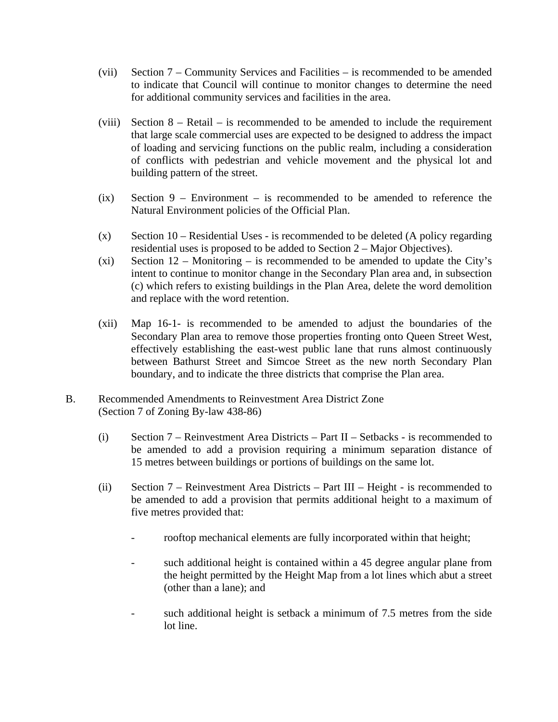- (vii) Section 7 Community Services and Facilities is recommended to be amended to indicate that Council will continue to monitor changes to determine the need for additional community services and facilities in the area.
- (viii) Section  $8 \text{Retail} \text{is recommended to be amended to include the requirement}$ that large scale commercial uses are expected to be designed to address the impact of loading and servicing functions on the public realm, including a consideration of conflicts with pedestrian and vehicle movement and the physical lot and building pattern of the street.
- (ix) Section 9 Environment is recommended to be amended to reference the Natural Environment policies of the Official Plan.
- $(x)$  Section 10 Residential Uses is recommended to be deleted (A policy regarding residential uses is proposed to be added to Section 2 – Major Objectives).
- (xi) Section  $12$  Monitoring is recommended to be amended to update the City's intent to continue to monitor change in the Secondary Plan area and, in subsection (c) which refers to existing buildings in the Plan Area, delete the word demolition and replace with the word retention.
- (xii) Map 16-1- is recommended to be amended to adjust the boundaries of the Secondary Plan area to remove those properties fronting onto Queen Street West, effectively establishing the east-west public lane that runs almost continuously between Bathurst Street and Simcoe Street as the new north Secondary Plan boundary, and to indicate the three districts that comprise the Plan area.
- B. Recommended Amendments to Reinvestment Area District Zone (Section 7 of Zoning By-law 438-86)
	- (i) Section 7 Reinvestment Area Districts Part II Setbacks is recommended to be amended to add a provision requiring a minimum separation distance of 15 metres between buildings or portions of buildings on the same lot.
	- (ii) Section 7 Reinvestment Area Districts Part III Height is recommended to be amended to add a provision that permits additional height to a maximum of five metres provided that:
		- rooftop mechanical elements are fully incorporated within that height;
		- such additional height is contained within a 45 degree angular plane from the height permitted by the Height Map from a lot lines which abut a street (other than a lane); and
		- such additional height is setback a minimum of 7.5 metres from the side lot line.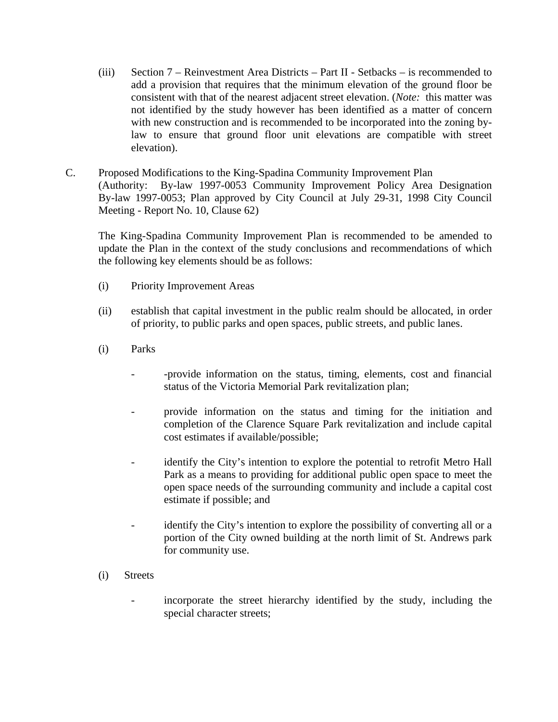- (iii) Section 7 Reinvestment Area Districts Part II Setbacks is recommended to add a provision that requires that the minimum elevation of the ground floor be consistent with that of the nearest adjacent street elevation. (*Note:* this matter was not identified by the study however has been identified as a matter of concern with new construction and is recommended to be incorporated into the zoning bylaw to ensure that ground floor unit elevations are compatible with street elevation).
- C. Proposed Modifications to the King-Spadina Community Improvement Plan (Authority: By-law 1997-0053 Community Improvement Policy Area Designation By-law 1997-0053; Plan approved by City Council at July 29-31, 1998 City Council Meeting - Report No. 10, Clause 62)

The King-Spadina Community Improvement Plan is recommended to be amended to update the Plan in the context of the study conclusions and recommendations of which the following key elements should be as follows:

- (i) Priority Improvement Areas
- (ii) establish that capital investment in the public realm should be allocated, in order of priority, to public parks and open spaces, public streets, and public lanes.
- (i) Parks
	- -provide information on the status, timing, elements, cost and financial status of the Victoria Memorial Park revitalization plan;
	- provide information on the status and timing for the initiation and completion of the Clarence Square Park revitalization and include capital cost estimates if available/possible;
	- identify the City's intention to explore the potential to retrofit Metro Hall Park as a means to providing for additional public open space to meet the open space needs of the surrounding community and include a capital cost estimate if possible; and
	- identify the City's intention to explore the possibility of converting all or a portion of the City owned building at the north limit of St. Andrews park for community use.
- (i) Streets
	- incorporate the street hierarchy identified by the study, including the special character streets;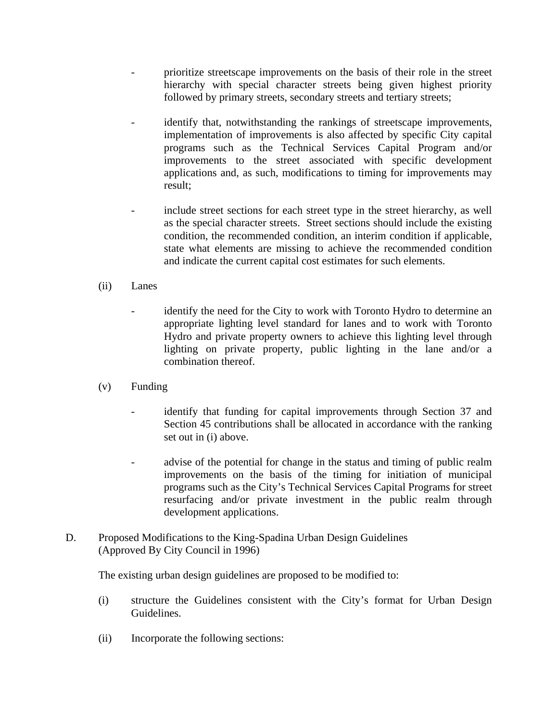- prioritize streetscape improvements on the basis of their role in the street hierarchy with special character streets being given highest priority followed by primary streets, secondary streets and tertiary streets;
- identify that, notwithstanding the rankings of streetscape improvements, implementation of improvements is also affected by specific City capital programs such as the Technical Services Capital Program and/or improvements to the street associated with specific development applications and, as such, modifications to timing for improvements may result;
- include street sections for each street type in the street hierarchy, as well as the special character streets. Street sections should include the existing condition, the recommended condition, an interim condition if applicable, state what elements are missing to achieve the recommended condition and indicate the current capital cost estimates for such elements.

# (ii) Lanes

- identify the need for the City to work with Toronto Hydro to determine an appropriate lighting level standard for lanes and to work with Toronto Hydro and private property owners to achieve this lighting level through lighting on private property, public lighting in the lane and/or a combination thereof.
- (v) Funding
	- identify that funding for capital improvements through Section 37 and Section 45 contributions shall be allocated in accordance with the ranking set out in (i) above.
	- advise of the potential for change in the status and timing of public realm improvements on the basis of the timing for initiation of municipal programs such as the City's Technical Services Capital Programs for street resurfacing and/or private investment in the public realm through development applications.
- D. Proposed Modifications to the King-Spadina Urban Design Guidelines (Approved By City Council in 1996)

The existing urban design guidelines are proposed to be modified to:

- (i) structure the Guidelines consistent with the City's format for Urban Design Guidelines.
- (ii) Incorporate the following sections: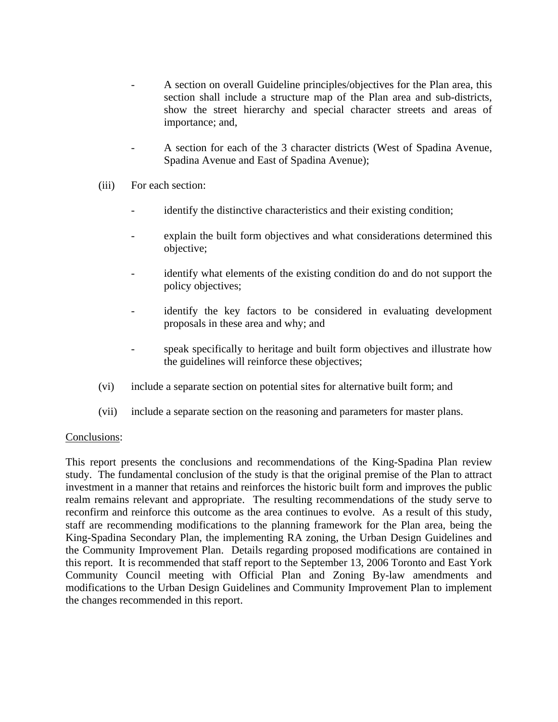- A section on overall Guideline principles/objectives for the Plan area, this section shall include a structure map of the Plan area and sub-districts, show the street hierarchy and special character streets and areas of importance; and,
- A section for each of the 3 character districts (West of Spadina Avenue, Spadina Avenue and East of Spadina Avenue);
- (iii) For each section:
	- identify the distinctive characteristics and their existing condition;
	- explain the built form objectives and what considerations determined this objective;
	- identify what elements of the existing condition do and do not support the policy objectives;
	- identify the key factors to be considered in evaluating development proposals in these area and why; and
	- speak specifically to heritage and built form objectives and illustrate how the guidelines will reinforce these objectives;
- (vi) include a separate section on potential sites for alternative built form; and
- (vii) include a separate section on the reasoning and parameters for master plans.

#### Conclusions:

This report presents the conclusions and recommendations of the King-Spadina Plan review study. The fundamental conclusion of the study is that the original premise of the Plan to attract investment in a manner that retains and reinforces the historic built form and improves the public realm remains relevant and appropriate. The resulting recommendations of the study serve to reconfirm and reinforce this outcome as the area continues to evolve. As a result of this study, staff are recommending modifications to the planning framework for the Plan area, being the King-Spadina Secondary Plan, the implementing RA zoning, the Urban Design Guidelines and the Community Improvement Plan. Details regarding proposed modifications are contained in this report. It is recommended that staff report to the September 13, 2006 Toronto and East York Community Council meeting with Official Plan and Zoning By-law amendments and modifications to the Urban Design Guidelines and Community Improvement Plan to implement the changes recommended in this report.